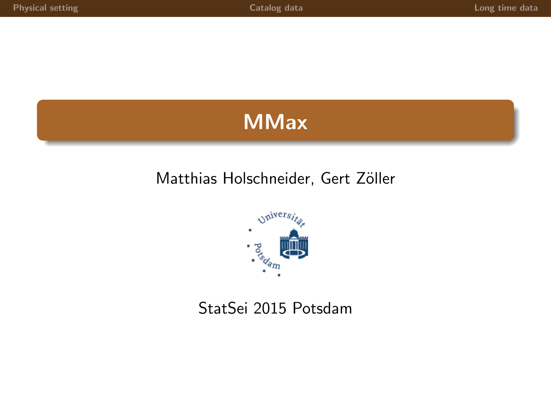# **MMax**

### Matthias Holschneider, Gert Zöller



### StatSei 2015 Potsdam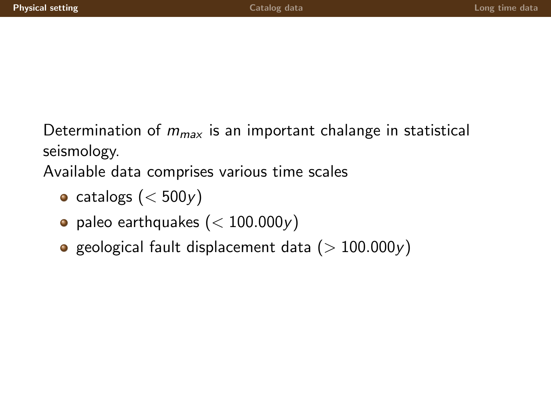Determination of  $m_{max}$  is an important chalange in statistical seismology.

Available data comprises various time scales

- catalogs ( $<$  500 $y$ )
- paleo earthquakes  $(< 100.000y)$
- <span id="page-1-0"></span>**e** geological fault displacement data ( $> 100.000y$ )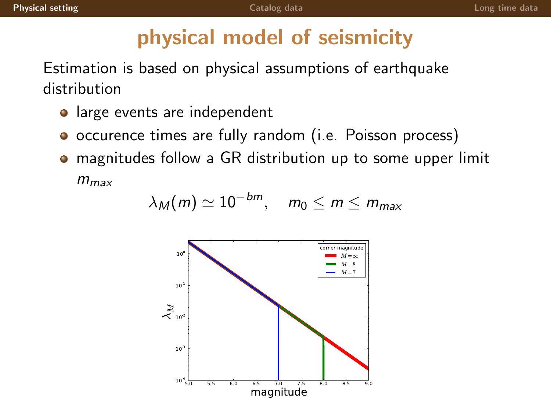# physical model of seismicity

Estimation is based on physical assumptions of earthquake distribution

- large events are independent
- **•** occurence times are fully random (i.e. Poisson process)
- magnitudes follow a GR distribution up to some upper limit  $m_{max}$

$$
\lambda_M(m) \simeq 10^{-bm}, \quad m_0 \le m \le m_{max}
$$

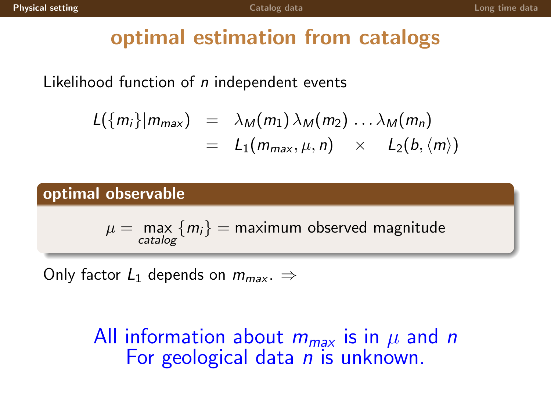## optimal estimation from catalogs

Likelihood function of  $n$  independent events

$$
L({m_i}|m_{max}) = \lambda_M(m_1) \lambda_M(m_2) \ldots \lambda_M(m_n)
$$
  
=  $L_1(m_{max}, \mu, n) \times L_2(b, \langle m \rangle)$ 

#### optimal observable

 $\mu = \text{ max}\left\{m_i\right\} = \text{maximum observed magnitude}$ catalog

Only factor  $L_1$  depends on  $m_{max}$ .  $\Rightarrow$ 

All information about  $m_{max}$  is in  $\mu$  and n For geological data *n* is unknown.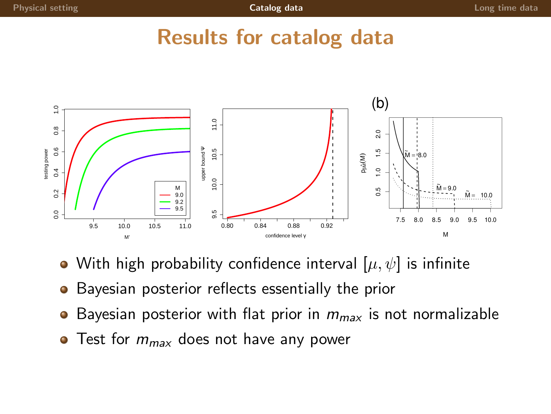### Results for catalog data



- With high probability confidence interval  $[\mu, \psi]$  is infinite
- **•** Bayesian posterior reflects essentially the prior
- Bayesian posterior with flat prior in  $m_{max}$  is not normalizable
- <span id="page-4-0"></span> $\bullet$  Test for  $m_{max}$  does not have any power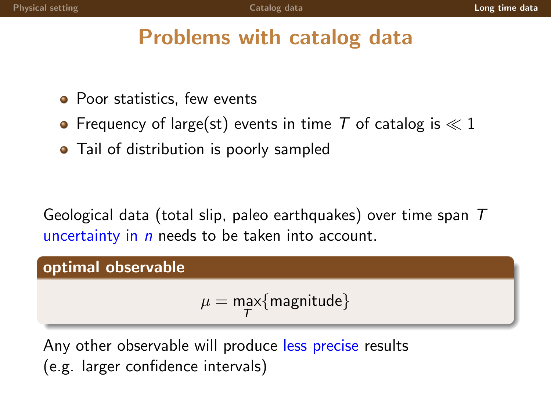# Problems with catalog data

- Poor statistics, few events
- Frequency of large(st) events in time T of catalog is  $\ll 1$
- Tail of distribution is poorly sampled

Geological data (total slip, paleo earthquakes) over time span  $T$ uncertainty in  $n$  needs to be taken into account.

#### optimal observable

<span id="page-5-0"></span> $\mu = \max_{\mathcal{T}} \{\textsf{magnitude}\}$ 

Any other observable will produce less precise results (e.g. larger confidence intervals)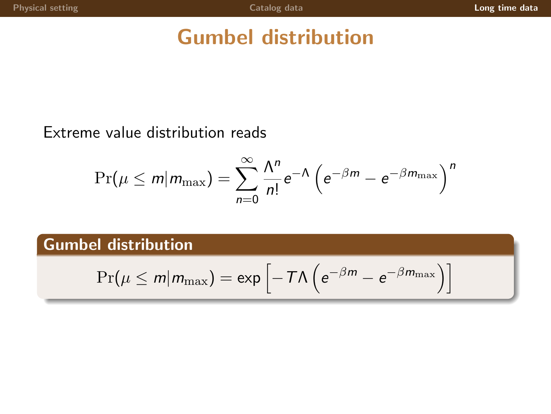# Gumbel distribution

#### Extreme value distribution reads

$$
\Pr(\mu \leq m | m_{\max}) = \sum_{n=0}^{\infty} \frac{\Lambda^n}{n!} e^{-\Lambda} \left( e^{-\beta m} - e^{-\beta m_{\max}} \right)^n
$$

#### Gumbel distribution

$$
\Pr(\mu \leq m | m_{\max}) = \exp \left[ -T\Lambda \left( e^{-\beta m} - e^{-\beta m_{\max}} \right) \right]
$$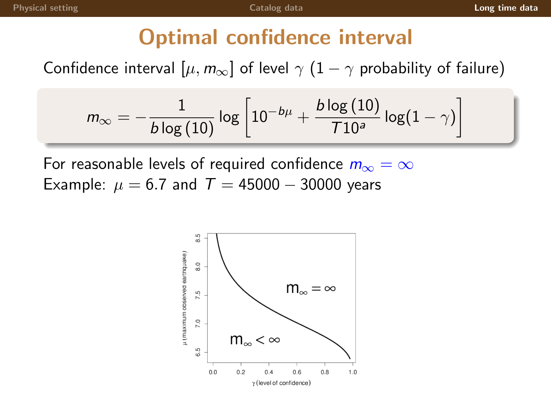# Optimal confidence interval

Confidence interval  $[\mu, m_{\infty}]$  of level  $\gamma$   $(1 - \gamma$  probability of failure)

$$
m_\infty=-\frac{1}{b\log\left(10\right)}\log\left[10^{-b\mu}+\frac{b\log\left(10\right)}{710^a}\log(1-\gamma)\right]
$$

For reasonable levels of required confidence  $m_{\infty} = \infty$ Example:  $\mu = 6.7$  and  $T = 45000 - 30000$  years

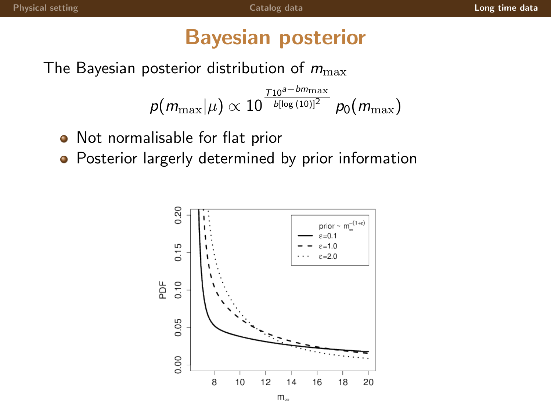## Bayesian posterior

The Bayesian posterior distribution of  $m_{\text{max}}$ 

 $\rho(m_{\text{max}}|\mu) \propto 10$  $\frac{\tau_{10}^{g-bm_{\max}}}{b[\log{(10)}]^{2}}$   $\rho_{0}(m_{\max})$ 

- Not normalisable for flat prior  $\bullet$
- **•** Posterior largerly determined by prior information

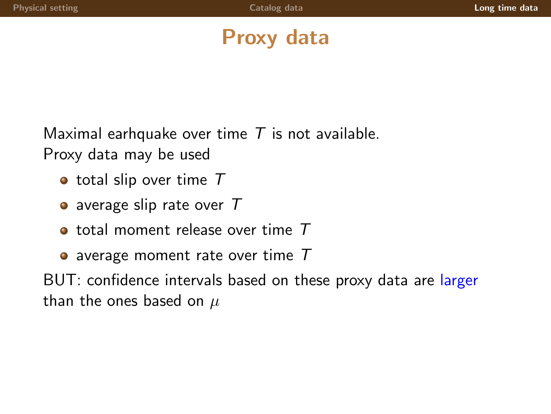# Proxy data

Maximal earhquake over time  $T$  is not available. Proxy data may be used

- $\bullet$  total slip over time  $T$
- average slip rate over  $T$
- $\bullet$  total moment release over time  $T$
- $\bullet$  average moment rate over time  $T$

BUT: confidence intervals based on these proxy data are larger than the ones based on  $\mu$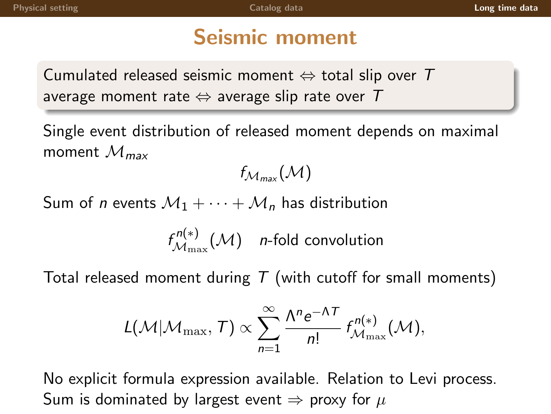# Seismic moment

Cumulated released seismic moment  $\Leftrightarrow$  total slip over T average moment rate  $\Leftrightarrow$  average slip rate over T

Single event distribution of released moment depends on maximal moment  $\mathcal{M}_{\text{max}}$ 

 $f_{\mathcal{M}_{\max}}(\mathcal{M})$ 

Sum of *n* events  $M_1 + \cdots + M_n$  has distribution

 $f_{\mathcal{M}_{\text{max}}}^{n(*)}$  $\mathcal{M}_{\max}^{(N(*))}(\mathcal{M})$  n-fold convolution

Total released moment during  $T$  (with cutoff for small moments)

$$
L(\mathcal{M}|\mathcal{M}_{\max},T)\propto \sum_{n=1}^{\infty}\frac{\Lambda^{n}e^{-\Lambda T}}{n!}f_{\mathcal{M}_{\max}}^{n(*)}(\mathcal{M}),
$$

No explicit formula expression available. Relation to Levi process. Sum is dominated by largest event  $\Rightarrow$  proxy for  $\mu$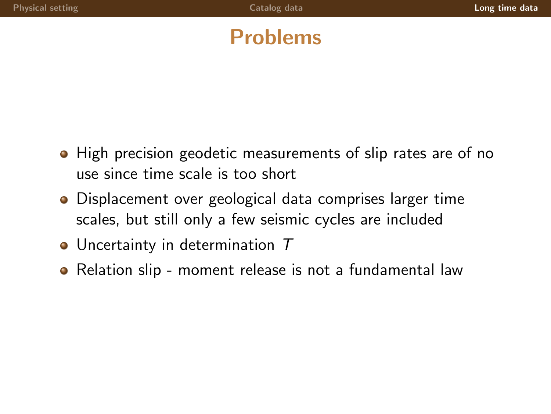# Problems

- High precision geodetic measurements of slip rates are of no use since time scale is too short
- Displacement over geological data comprises larger time scales, but still only a few seismic cycles are included
- Uncertainty in determination T
- Relation slip moment release is not a fundamental law